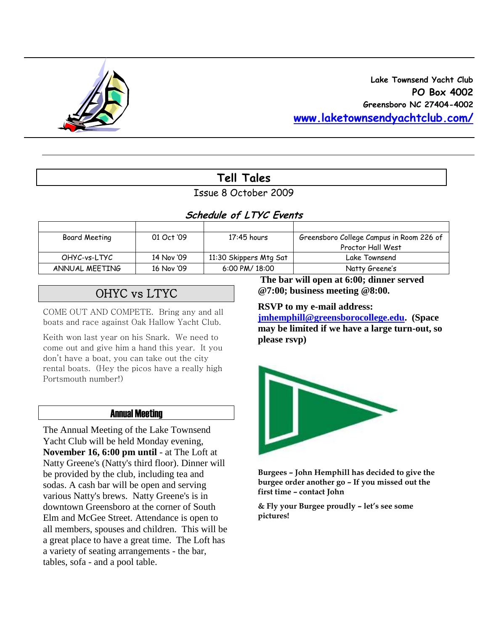

## **Lake Townsend Yacht Club PO Box 4002 Greensboro NC 27404-4002 [www.laketownsendyachtclub.com/](http://www.laketownsendyachtclub.com/)**

## **Tell Tales**

Issue 8 October 2009

## **Schedule of LTYC Events**

| Board Meeting  | 01 Oct '09 | $17:45$ hours          | Greensboro College Campus in Room 226 of |
|----------------|------------|------------------------|------------------------------------------|
|                |            |                        | Proctor Hall West                        |
| OHYC-vs-LTYC   | 14 Nov '09 | 11:30 Skippers Mtg Sat | Lake Townsend                            |
| ANNUAL MEETING | 16 Nov '09 | 6:00 PM/ 18:00         | Natty Greene's                           |

# OHYC vs LTYC

COME OUT AND COMPETE. Bring any and all boats and race against Oak Hallow Yacht Club.

Keith won last year on his Snark. We need to come out and give him a hand this year. It you don't have a boat, you can take out the city rental boats. (Hey the picos have a really high Portsmouth number!)

### Annual Meeting

The Annual Meeting of the Lake Townsend Yacht Club will be held Monday evening, **November 16, 6:00 pm until** - at The Loft at Natty Greene's (Natty's third floor). Dinner will be provided by the club, including tea and sodas. A cash bar will be open and serving various Natty's brews. Natty Greene's is in downtown Greensboro at the corner of South Elm and McGee Street. Attendance is open to all members, spouses and children. This will be a great place to have a great time. The Loft has a variety of seating arrangements - the bar, tables, sofa - and a pool table.

**The bar will open at 6:00; dinner served @7:00; business meeting @8:00.** 

#### **RSVP to my e-mail address:**

**[jmhemphill@greensborocollege.edu.](mailto:jmhemphill@greensborocollege.edu) (Space may be limited if we have a large turn-out, so please rsvp)**



**Burgees – John Hemphill has decided to give the burgee order another go – If you missed out the first time – contact John** 

**& Fly your Burgee proudly – let's see some pictures!**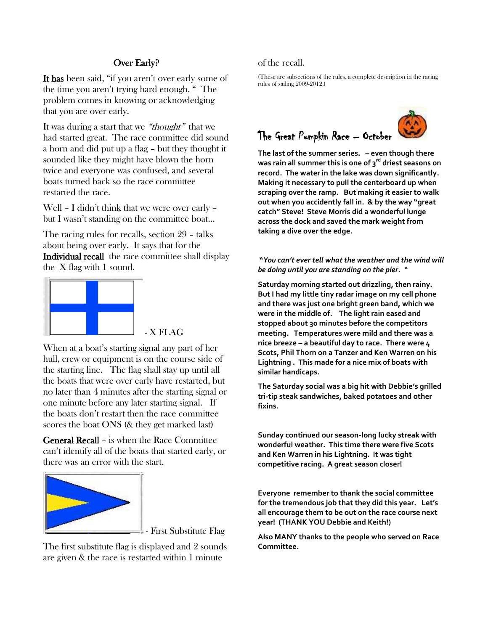### Over Early?

It has been said, "if you aren't over early some of the time you aren't trying hard enough. " The problem comes in knowing or acknowledging that you are over early.

It was during a start that we "thought" that we had started great. The race committee did sound a horn and did put up a flag – but they thought it sounded like they might have blown the horn twice and everyone was confused, and several boats turned back so the race committee restarted the race.

Well – I didn't think that we were over early – but I wasn't standing on the committee boat…

The racing rules for recalls, section 29 – talks about being over early. It says that for the Individual recall the race committee shall display the X flag with 1 sound.



- X FLAG

When at a boat's starting signal any part of her hull, crew or equipment is on the course side of the starting line. The flag shall stay up until all the boats that were over early have restarted, but no later than 4 minutes after the starting signal or one minute before any later starting signal. If the boats don't restart then the race committee scores the boat ONS (& they get marked last)

General Recall – is when the Race Committee can't identify all of the boats that started early, or there was an error with the start.



- First Substitute Flag

The first substitute flag is displayed and 2 sounds are given & the race is restarted within 1 minute

#### of the recall.

(These are subsections of the rules, a complete description in the racing rules of sailing 2009-2012.)





**The last of the summer series. – even though there was rain all summer this is one of 3rd driest seasons on record. The water in the lake was down significantly. Making it necessary to pull the centerboard up when scraping over the ramp. But making it easier to walk out when you accidently fall in. & by the way "great catch" Steve! Steve Morris did a wonderful lunge across the dock and saved the mark weight from taking a dive over the edge.** 

**"***You can't ever tell what the weather and the wind will be doing until you are standing on the pier. "*

**Saturday morning started out drizzling, then rainy. But I had my little tiny radar image on my cell phone and there was just one bright green band, which we were in the middle of. The light rain eased and stopped about 30 minutes before the competitors meeting. Temperatures were mild and there was a nice breeze – a beautiful day to race. There were 4 Scots, Phil Thorn on a Tanzer and Ken Warren on his Lightning . This made for a nice mix of boats with similar handicaps.**

**The Saturday social was a big hit with Debbie's grilled tri-tip steak sandwiches, baked potatoes and other fixins.**

**Sunday continued our season-long lucky streak with wonderful weather. This time there were five Scots and Ken Warren in his Lightning. It was tight competitive racing. A great season closer!**

**Everyone remember to thank the social committee for the tremendous job that they did this year. Let's all encourage them to be out on the race course next year! (THANK YOU Debbie and Keith!)** 

**Also MANY thanks to the people who served on Race Committee.**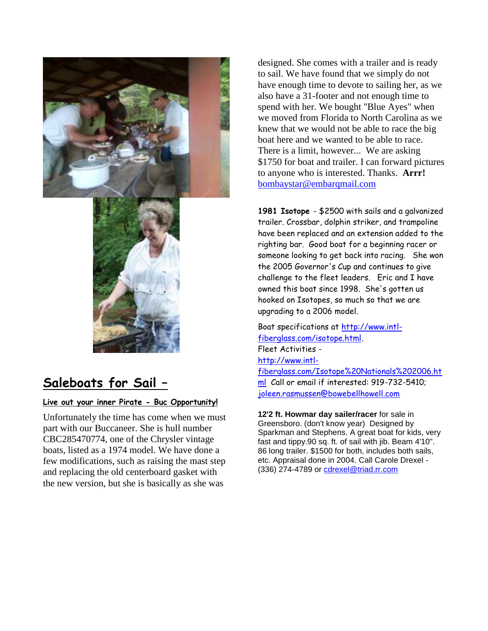

# **Saleboats for Sail –**

#### **Live out your inner Pirate - Buc Opportunity!**

Unfortunately the time has come when we must part with our Buccaneer. She is hull number CBC285470774, one of the Chrysler vintage boats, listed as a 1974 model. We have done a few modifications, such as raising the mast step and replacing the old centerboard gasket with the new version, but she is basically as she was

designed. She comes with a trailer and is ready to sail. We have found that we simply do not have enough time to devote to sailing her, as we also have a 31-footer and not enough time to spend with her. We bought "Blue Ayes" when we moved from Florida to North Carolina as we knew that we would not be able to race the big boat here and we wanted to be able to race. There is a limit, however... We are asking \$1750 for boat and trailer. I can forward pictures to anyone who is interested. Thanks. **Arrr!**  [bombaystar@embarqmail.com](mailto:bombaystar@embarqmail.com)

**1981 Isotope** - \$2500 with sails and a galvanized trailer. Crossbar, dolphin striker, and trampoline have been replaced and an extension added to the righting bar. Good boat for a beginning racer or someone looking to get back into racing. She won the 2005 Governor's Cup and continues to give challenge to the fleet leaders. Eric and I have owned this boat since 1998. She's gotten us hooked on Isotopes, so much so that we are upgrading to a 2006 model.

Boat specifications at [http://www.intl](http://www.intl-fiberglass.com/isotope.html)[fiberglass.com/isotope.html.](http://www.intl-fiberglass.com/isotope.html) Fleet Activities [http://www.intl](http://www.intl-fiberglass.com/Isotope%20Nationals%202006.html)[fiberglass.com/Isotope%20Nationals%202006.ht](http://www.intl-fiberglass.com/Isotope%20Nationals%202006.html) [ml](http://www.intl-fiberglass.com/Isotope%20Nationals%202006.html) Call or email if interested: 919-732-5410; [joleen.rasmussen@bowebellhowell.com](mailto:joleen.rasmussen@bowebellhowell.com)

**12'2 ft. Howmar day sailer/racer** for sale in Greensboro. (don't know year) Designed by Sparkman and Stephens. A great boat for kids, very fast and tippy.90 sq. ft. of sail with jib. Beam 4'10". 86 long trailer. \$1500 for both, includes both sails, etc. Appraisal done in 2004. Call Carole Drexel - (336) 274-4789 or [cdrexel@triad.rr.com](mailto:cdrexel@triad.rr.com)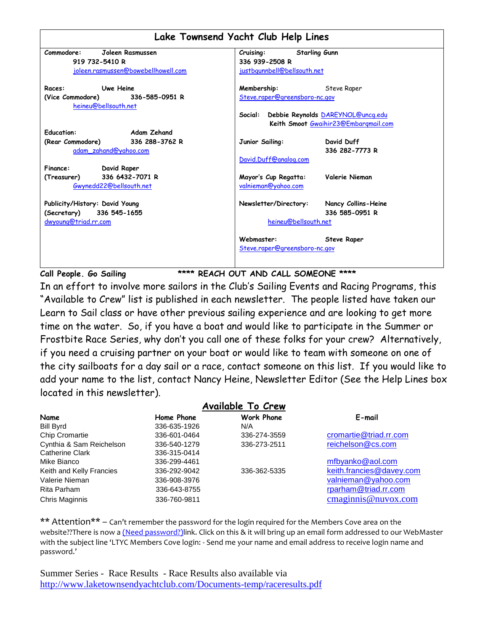|                                                            | Lake Townsend Yacht Club Help Lines                                               |
|------------------------------------------------------------|-----------------------------------------------------------------------------------|
| Commodore:<br>Joleen Rasmussen                             | Cruising:<br><b>Starling Gunn</b>                                                 |
| 919 732-5410 R                                             | 336 939-2508 R                                                                    |
| joleen.rasmussen@bowebellhowell.com                        | justbgunnbell@bellsouth.net                                                       |
| <b>Uwe Heine</b><br>Races:                                 | Membership:<br>Steve Raper                                                        |
| (Vice Commodore) 336-585-0951 R<br>heineu@bellsouth.net    | Steve.raper@greensboro-nc.gov                                                     |
|                                                            | Social: Debbie Reynolds DAREYNOL@uncq.edu<br>Keith Smoot Gwaihir23@Embargmail.com |
| <b>Education:</b><br><b>Example 2</b> Adam Zehand          |                                                                                   |
| (Rear Commodore) 336 288-3762 R<br>adam_zahand@yahoo.com   | David Duff<br>Junior Sailing:<br>336 282-7773 R                                   |
| Finance:<br>David Raper                                    | David.Duff@analog.com                                                             |
| 336 6432-7071 R<br>(Treasurer)<br>Gwynedd22@bellsouth.net  | Mayor's Cup Regatta:<br>Valerie Nieman<br>valnieman@yahoo.com                     |
| Publicity/History: David Young<br>(Secretary) 336 545-1655 | Newsletter/Directory:<br>Nancy Collins-Heine<br>336 585-0951 R                    |
| dwyoung@triad.rr.com                                       | heineu@bellsouth.net                                                              |
|                                                            | Webmaster:<br><b>Steve Raper</b><br>Steve.raper@greensboro-nc.gov                 |

**Call People. Go Sailing \*\*\*\* REACH OUT AND CALL SOMEONE \*\*\*\***

In an effort to involve more sailors in the Club"s Sailing Events and Racing Programs, this "Available to Crew" list is published in each newsletter. The people listed have taken our Learn to Sail class or have other previous sailing experience and are looking to get more time on the water. So, if you have a boat and would like to participate in the Summer or Frostbite Race Series, why don"t you call one of these folks for your crew? Alternatively, if you need a cruising partner on your boat or would like to team with someone on one of the city sailboats for a day sail or a race, contact someone on this list. If you would like to add your name to the list, contact Nancy Heine, Newsletter Editor (See the Help Lines box located in this newsletter).

|                          |              | <b>Available To Crew</b> |                          |
|--------------------------|--------------|--------------------------|--------------------------|
| Name                     | Home Phone   | <b>Work Phone</b>        | E-mail                   |
| <b>Bill Byrd</b>         | 336-635-1926 | N/A                      |                          |
| <b>Chip Cromartie</b>    | 336-601-0464 | 336-274-3559             | cromartie@triad.rr.com   |
| Cynthia & Sam Reichelson | 336-540-1279 | 336-273-2511             | reichelson@cs.com        |
| Catherine Clark          | 336-315-0414 |                          |                          |
| Mike Bianco              | 336-299-4461 |                          | mfbyanko@aol.com         |
| Keith and Kelly Francies | 336-292-9042 | 336-362-5335             | keith.francies@davey.com |
| Valerie Nieman           | 336-908-3976 |                          | valnieman@yahoo.com      |
| Rita Parham              | 336-643-8755 |                          | rparham@triad.rr.com     |
| Chris Maginnis           | 336-760-9811 |                          | cmaginnis@nuvox.com      |

\*\* Attention\*\* – Can't remember the password for the login required for the Members Cove area on the website??There is now a (Need password?)link. Click on this & it will bring up an email form addressed to our WebMaster with the subject line 'LTYC Members Cove login: - Send me your name and email address to receive login name and password.'

Summer Series - Race Results - Race Results also available via <http://www.laketownsendyachtclub.com/Documents-temp/raceresults.pdf>